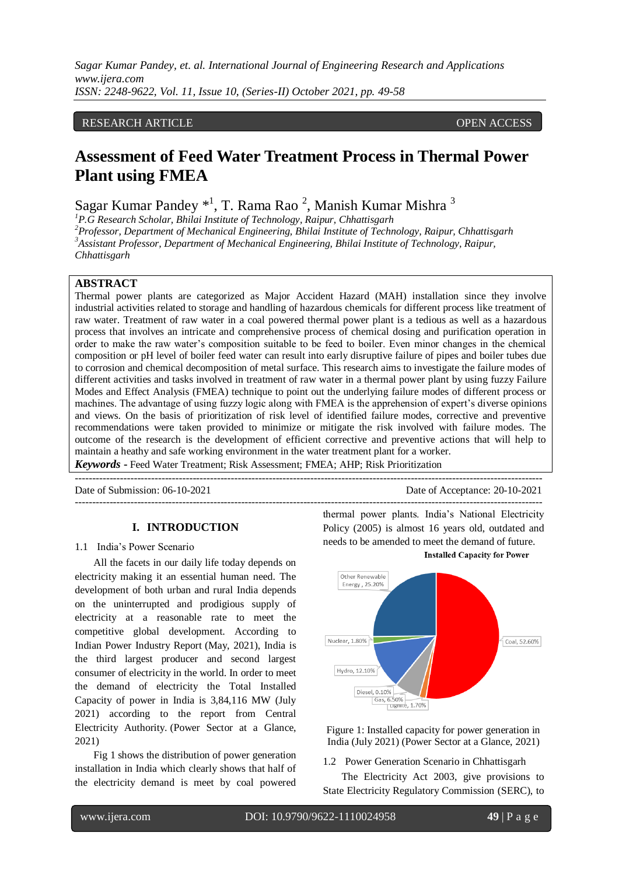## RESEARCH ARTICLE **CONSERVERS** OPEN ACCESS

# **Assessment of Feed Water Treatment Process in Thermal Power Plant using FMEA**

Sagar Kumar Pandey  $*^1$ , T. Rama Rao<sup>2</sup>, Manish Kumar Mishra<sup>3</sup>

*P.G Research Scholar, Bhilai Institute of Technology, Raipur, Chhattisgarh Professor, Department of Mechanical Engineering, Bhilai Institute of Technology, Raipur, Chhattisgarh Assistant Professor, Department of Mechanical Engineering, Bhilai Institute of Technology, Raipur, Chhattisgarh*

### **ABSTRACT**

Thermal power plants are categorized as Major Accident Hazard (MAH) installation since they involve industrial activities related to storage and handling of hazardous chemicals for different process like treatment of raw water. Treatment of raw water in a coal powered thermal power plant is a tedious as well as a hazardous process that involves an intricate and comprehensive process of chemical dosing and purification operation in order to make the raw water's composition suitable to be feed to boiler. Even minor changes in the chemical composition or pH level of boiler feed water can result into early disruptive failure of pipes and boiler tubes due to corrosion and chemical decomposition of metal surface. This research aims to investigate the failure modes of different activities and tasks involved in treatment of raw water in a thermal power plant by using fuzzy Failure Modes and Effect Analysis (FMEA) technique to point out the underlying failure modes of different process or machines. The advantage of using fuzzy logic along with FMEA is the apprehension of expert's diverse opinions and views. On the basis of prioritization of risk level of identified failure modes, corrective and preventive recommendations were taken provided to minimize or mitigate the risk involved with failure modes. The outcome of the research is the development of efficient corrective and preventive actions that will help to maintain a heathy and safe working environment in the water treatment plant for a worker.

*Keywords* **-** Feed Water Treatment; Risk Assessment; FMEA; AHP; Risk Prioritization

--------------------------------------------------------------------------------------------------------------------------------------- Date of Submission: 06-10-2021 Date of Acceptance: 20-10-2021

#### **I. INTRODUCTION**

#### 1.1 India's Power Scenario

All the facets in our daily life today depends on electricity making it an essential human need. The development of both urban and rural India depends on the uninterrupted and prodigious supply of electricity at a reasonable rate to meet the competitive global development. According to Indian Power Industry Report (May, 2021), India is the third largest producer and second largest consumer of electricity in the world. In order to meet the demand of electricity the Total Installed Capacity of power in India is 3,84,116 MW (July 2021) according to the report from Central Electricity Authority. (Power Sector at a Glance, 2021)

Fig 1 shows the distribution of power generation installation in India which clearly shows that half of the electricity demand is meet by coal powered

-------------------------------------------------------------------------------------------------------------------------------------- thermal power plants. India's National Electricity Policy (2005) is almost 16 years old, outdated and needs to be amended to meet the demand of future. **Installed Capacity for Power** 



Figure 1: Installed capacity for power generation in India (July 2021) (Power Sector at a Glance, 2021)

1.2 Power Generation Scenario in Chhattisgarh

The Electricity Act 2003, give provisions to State Electricity Regulatory Commission (SERC), to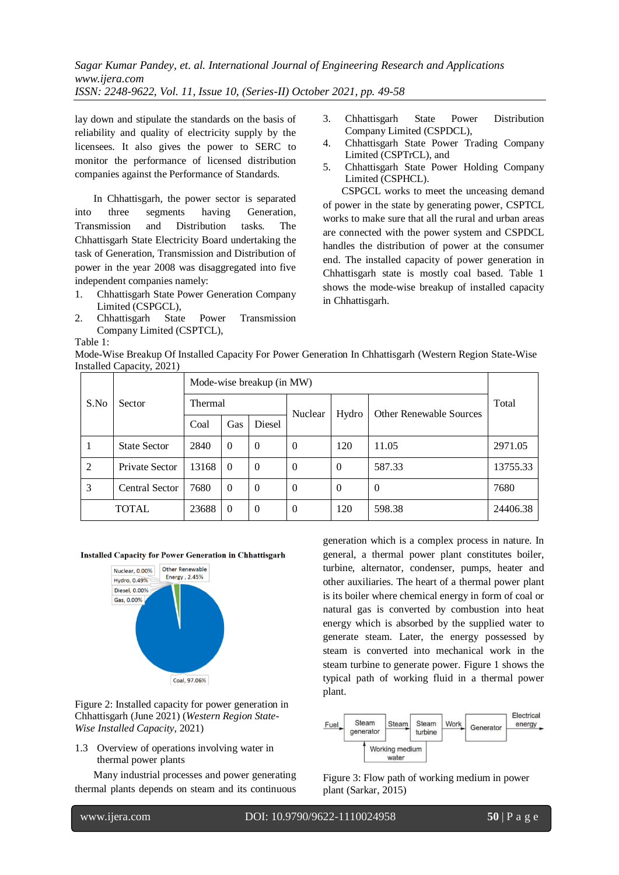lay down and stipulate the standards on the basis of reliability and quality of electricity supply by the licensees. It also gives the power to SERC to monitor the performance of licensed distribution companies against the Performance of Standards.

In Chhattisgarh, the power sector is separated into three segments having Generation, Transmission and Distribution tasks. The Chhattisgarh State Electricity Board undertaking the task of Generation, Transmission and Distribution of power in the year 2008 was disaggregated into five independent companies namely:

- 1. Chhattisgarh State Power Generation Company Limited (CSPGCL),
- 2. Chhattisgarh State Power Transmission Company Limited (CSPTCL),

Table 1:

3. Chhattisgarh State Power Distribution Company Limited (CSPDCL),

- 4. Chhattisgarh State Power Trading Company Limited (CSPTrCL), and
- 5. Chhattisgarh State Power Holding Company Limited (CSPHCL).

CSPGCL works to meet the unceasing demand of power in the state by generating power, CSPTCL works to make sure that all the rural and urban areas are connected with the power system and CSPDCL handles the distribution of power at the consumer end. The installed capacity of power generation in Chhattisgarh state is mostly coal based. Table 1 shows the mode-wise breakup of installed capacity in Chhattisgarh.

| Mode-Wise Breakup Of Installed Capacity For Power Generation In Chhattisgarh (Western Region State-Wise |  |
|---------------------------------------------------------------------------------------------------------|--|
| Installed Capacity, 2021)                                                                               |  |

|                | $m$ <sup>2</sup>    |                           |            |                |                         |                |          |          |
|----------------|---------------------|---------------------------|------------|----------------|-------------------------|----------------|----------|----------|
|                |                     | Mode-wise breakup (in MW) |            |                |                         |                |          |          |
| S.No<br>Sector | Thermal             |                           |            |                | Other Renewable Sources | Total          |          |          |
|                |                     | Coal                      | <b>Gas</b> | Diesel         | Nuclear                 | Hydro          |          |          |
|                | <b>State Sector</b> | 2840                      | $\Omega$   | $\Omega$       | $\Omega$                | 120            | 11.05    | 2971.05  |
| 2              | Private Sector      | 13168                     | $\theta$   | $\Omega$       | $\Omega$                | $\Omega$       | 587.33   | 13755.33 |
| 3              | Central Sector      | 7680                      | $\Omega$   | $\Omega$       | $\theta$                | $\overline{0}$ | $\theta$ | 7680     |
|                | <b>TOTAL</b>        | 23688                     | $\Omega$   | $\overline{0}$ | $\theta$                | 120            | 598.38   | 24406.38 |

#### **Installed Capacity for Power Generation in Chhattisgarh**



Figure 2: Installed capacity for power generation in Chhattisgarh (June 2021) (*Western Region State-Wise Installed Capacity*, 2021)

1.3 Overview of operations involving water in thermal power plants

Many industrial processes and power generating thermal plants depends on steam and its continuous generation which is a complex process in nature. In general, a thermal power plant constitutes boiler, turbine, alternator, condenser, pumps, heater and other auxiliaries. The heart of a thermal power plant is its boiler where chemical energy in form of coal or natural gas is converted by combustion into heat energy which is absorbed by the supplied water to generate steam. Later, the energy possessed by steam is converted into mechanical work in the steam turbine to generate power. Figure 1 shows the typical path of working fluid in a thermal power plant.



Figure 3: Flow path of working medium in power plant (Sarkar, 2015)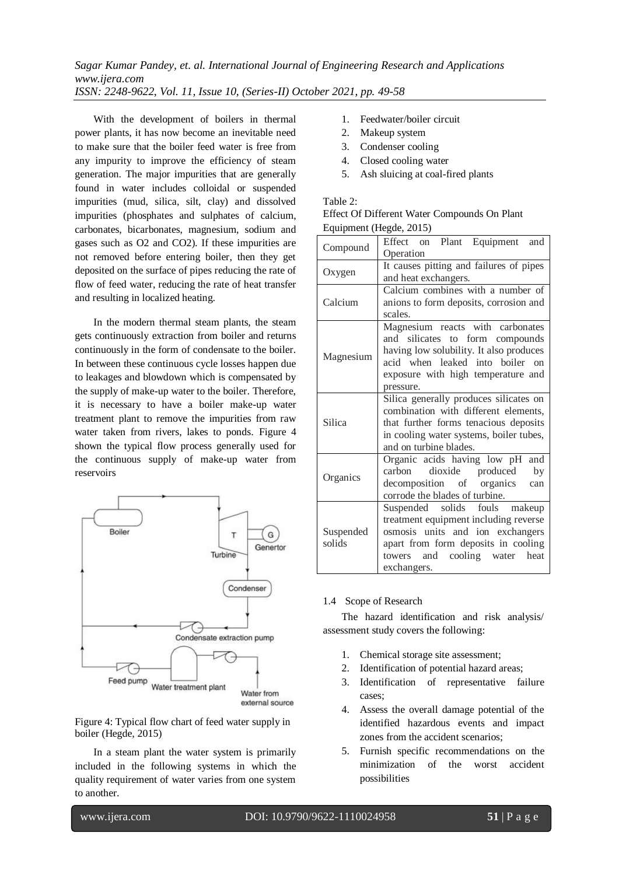With the development of boilers in thermal power plants, it has now become an inevitable need to make sure that the boiler feed water is free from any impurity to improve the efficiency of steam generation. The major impurities that are generally found in water includes colloidal or suspended impurities (mud, silica, silt, clay) and dissolved impurities (phosphates and sulphates of calcium, carbonates, bicarbonates, magnesium, sodium and gases such as O2 and CO2). If these impurities are not removed before entering boiler, then they get deposited on the surface of pipes reducing the rate of flow of feed water, reducing the rate of heat transfer and resulting in localized heating.

In the modern thermal steam plants, the steam gets continuously extraction from boiler and returns continuously in the form of condensate to the boiler. In between these continuous cycle losses happen due to leakages and blowdown which is compensated by the supply of make-up water to the boiler. Therefore, it is necessary to have a boiler make-up water treatment plant to remove the impurities from raw water taken from rivers, lakes to ponds. Figure 4 shown the typical flow process generally used for the continuous supply of make-up water from reservoirs



Figure 4: Typical flow chart of feed water supply in boiler (Hegde, 2015)

In a steam plant the water system is primarily included in the following systems in which the quality requirement of water varies from one system to another.

- 1. Feedwater/boiler circuit
- 2. Makeup system
- 3. Condenser cooling
- 4. Closed cooling water
- 5. Ash sluicing at coal-fired plants

## Table 2:

|                         | Effect Of Different Water Compounds On Plant |
|-------------------------|----------------------------------------------|
| Equipment (Hegde, 2015) |                                              |

| Compound                                                                                                                                                                                               | Effect on Plant Equipment and<br>Operation                                                                                                                                                           |  |  |  |  |
|--------------------------------------------------------------------------------------------------------------------------------------------------------------------------------------------------------|------------------------------------------------------------------------------------------------------------------------------------------------------------------------------------------------------|--|--|--|--|
| Oxygen                                                                                                                                                                                                 | It causes pitting and failures of pipes<br>and heat exchangers.                                                                                                                                      |  |  |  |  |
| Calcium                                                                                                                                                                                                | Calcium combines with a number of<br>anions to form deposits, corrosion and<br>scales.                                                                                                               |  |  |  |  |
| Magnesium                                                                                                                                                                                              | Magnesium reacts with carbonates<br>and silicates to form compounds<br>having low solubility. It also produces<br>acid when leaked into boiler on<br>exposure with high temperature and<br>pressure. |  |  |  |  |
| Silica generally produces silicates on<br>combination with different elements,<br>Silica<br>that further forms tenacious deposits<br>in cooling water systems, boiler tubes,<br>and on turbine blades. |                                                                                                                                                                                                      |  |  |  |  |
| Organics                                                                                                                                                                                               | Organic acids having low pH and<br>dioxide produced<br>carbon<br>by<br>decomposition of organics<br>can<br>corrode the blades of turbine.                                                            |  |  |  |  |
| Suspended<br>solids                                                                                                                                                                                    | Suspended solids fouls makeup<br>treatment equipment including reverse<br>osmosis units and ion exchangers<br>apart from form deposits in cooling<br>towers and cooling water heat<br>exchangers.    |  |  |  |  |

#### 1.4 Scope of Research

The hazard identification and risk analysis/ assessment study covers the following:

- 1. Chemical storage site assessment;
- 2. Identification of potential hazard areas;
- 3. Identification of representative failure cases;
- 4. Assess the overall damage potential of the identified hazardous events and impact zones from the accident scenarios;
- 5. Furnish specific recommendations on the minimization of the worst accident possibilities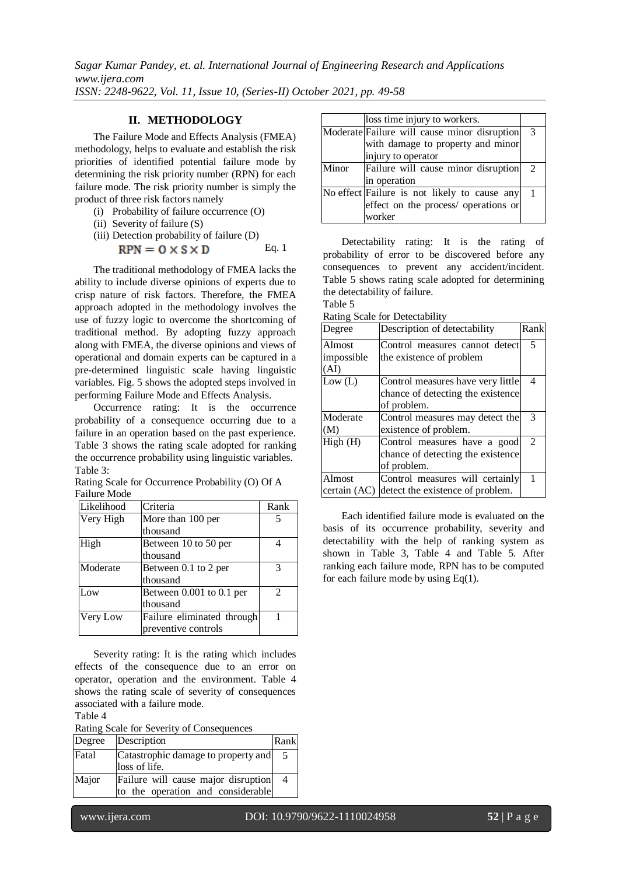# **II. METHODOLOGY**

The Failure Mode and Effects Analysis (FMEA) methodology, helps to evaluate and establish the risk priorities of identified potential failure mode by determining the risk priority number (RPN) for each failure mode. The risk priority number is simply the product of three risk factors namely

- (i) Probability of failure occurrence (O)
- (ii) Severity of failure (S)
- (iii) Detection probability of failure (D)  $RPN = 0 \times S \times D$ Eq. 1

The traditional methodology of FMEA lacks the ability to include diverse opinions of experts due to crisp nature of risk factors. Therefore, the FMEA approach adopted in the methodology involves the use of fuzzy logic to overcome the shortcoming of traditional method. By adopting fuzzy approach along with FMEA, the diverse opinions and views of operational and domain experts can be captured in a pre-determined linguistic scale having linguistic variables. Fig. 5 shows the adopted steps involved in performing Failure Mode and Effects Analysis.

Occurrence rating: It is the occurrence probability of a consequence occurring due to a failure in an operation based on the past experience. [Table 3](#page-3-0) shows the rating scale adopted for ranking the occurrence probability using linguistic variables. Table 3:

<span id="page-3-0"></span>Rating Scale for Occurrence Probability (O) Of A Failure Mode

| Likelihood | Criteria                   | Rank                        |
|------------|----------------------------|-----------------------------|
| Very High  | More than 100 per          |                             |
|            | thousand                   |                             |
| High       | Between 10 to 50 per       |                             |
|            | thousand                   |                             |
| Moderate   | Between 0.1 to 2 per       |                             |
|            | thousand                   |                             |
| Low        | Between 0.001 to 0.1 per   | $\mathcal{D}_{\mathcal{L}}$ |
|            | thousand                   |                             |
| Very Low   | Failure eliminated through |                             |
|            | preventive controls        |                             |

Severity rating: It is the rating which includes effects of the consequence due to an error on operator, operation and the environment. [Table 4](#page-3-1) shows the rating scale of severity of consequences associated with a failure mode.

<span id="page-3-1"></span>Table 4

l

Rating Scale for Severity of Consequences

| Degree | Description                                                              | Rank |
|--------|--------------------------------------------------------------------------|------|
| Fatal  | Catastrophic damage to property and<br>loss of life.                     | -5   |
| Major  | Failure will cause major disruption<br>to the operation and considerable | -4   |

|       | loss time injury to workers.                 |                |
|-------|----------------------------------------------|----------------|
|       | Moderate Failure will cause minor disruption | $\mathcal{R}$  |
|       | with damage to property and minor            |                |
|       | injury to operator                           |                |
| Minor | Failure will cause minor disruption          | $\overline{2}$ |
|       | in operation                                 |                |
|       | No effect Failure is not likely to cause any | $\mathbf{1}$   |
|       | effect on the process/ operations or         |                |
|       | worker                                       |                |

Detectability rating: It is the rating of probability of error to be discovered before any consequences to prevent any accident/incident. [Table 5](#page-3-2) shows rating scale adopted for determining the detectability of failure. Table 5

<span id="page-3-2"></span>Rating Scale for Detectability

| Degree       | Description of detectability      | Rank           |
|--------------|-----------------------------------|----------------|
| Almost       | Control measures cannot detect    | 5              |
| impossible   | the existence of problem          |                |
| (AI)         |                                   |                |
| Low (L)      | Control measures have very little | 4              |
|              | chance of detecting the existence |                |
|              | of problem.                       |                |
| Moderate     | Control measures may detect the   | 3              |
| (M)          | existence of problem.             |                |
| High(H)      | Control measures have a good      | $\mathfrak{D}$ |
|              | chance of detecting the existence |                |
|              | of problem.                       |                |
| Almost       | Control measures will certainly   | 1              |
| certain (AC) | detect the existence of problem.  |                |

Each identified failure mode is evaluated on the basis of its occurrence probability, severity and detectability with the help of ranking system as shown in [Table 3,](#page-3-0) [Table 4](#page-3-1) and [Table 5.](#page-3-2) After ranking each failure mode, RPN has to be computed for each failure mode by using  $Eq(1)$ .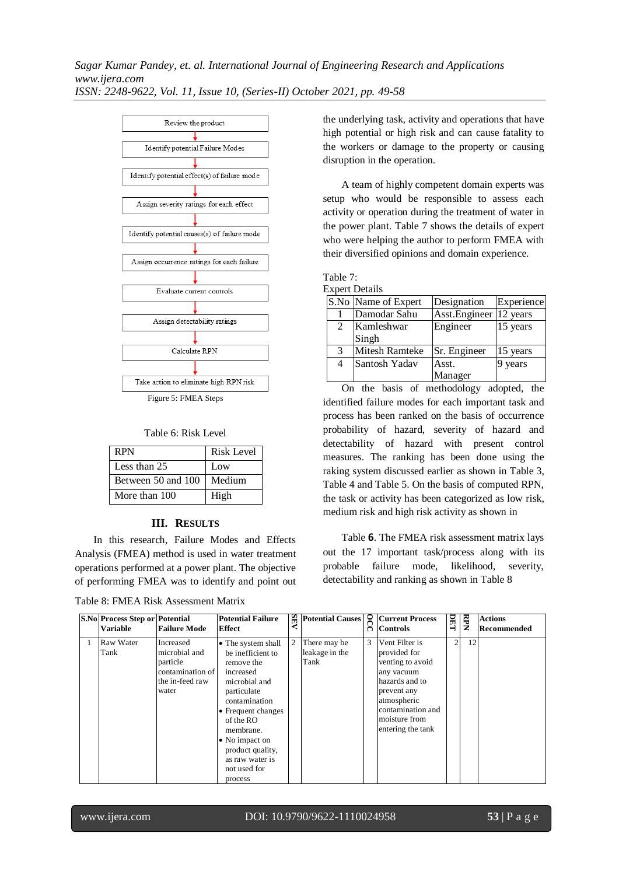

Table 6: Risk Level

<span id="page-4-1"></span>

| RPN                | <b>Risk Level</b> |
|--------------------|-------------------|
| Less than 25       | Low               |
| Between 50 and 100 | Medium            |
| More than 100      | High              |

### **III. RESULTS**

In this research, Failure Modes and Effects Analysis (FMEA) method is used in water treatment operations performed at a power plant. The objective of performing FMEA was to identify and point out

<span id="page-4-2"></span>

| Table 8: FMEA Risk Assessment Matrix |
|--------------------------------------|
|--------------------------------------|

the underlying task, activity and operations that have high potential or high risk and can cause fatality to the workers or damage to the property or causing disruption in the operation.

A team of highly competent domain experts was setup who would be responsible to assess each activity or operation during the treatment of water in the power plant. [Table 7](#page-4-0) shows the details of expert who were helping the author to perform FMEA with their diversified opinions and domain experience.

<span id="page-4-0"></span>

| Table 7:              |
|-----------------------|
| <b>Expert Details</b> |

|   | Apoli Details       |                           |            |
|---|---------------------|---------------------------|------------|
|   | S.No Name of Expert | Designation               | Experience |
|   | Damodar Sahu        | Asst. Engineer   12 years |            |
| 2 | Kamleshwar          | Engineer                  | 15 years   |
|   | Singh               |                           |            |
| 3 | Mitesh Ramteke      | Sr. Engineer              | 15 years   |
| 4 | Santosh Yadav       | Asst.                     | 9 years    |
|   |                     | Manager                   |            |

On the basis of methodology adopted, the identified failure modes for each important task and process has been ranked on the basis of occurrence probability of hazard, severity of hazard and detectability of hazard with present control measures. The ranking has been done using the raking system discussed earlier as shown in [Table 3,](#page-3-0) [Table 4](#page-3-1) an[d Table 5.](#page-3-2) On the basis of computed RPN, the task or activity has been categorized as low risk, medium risk and high risk activity as shown in

[Table](#page-4-1) **6**. The FMEA risk assessment matrix lays out the 17 important task/process along with its probable failure mode, likelihood, severity, detectability and ranking as shown in [Table 8](#page-4-2)

| <b>S.No Process Step or Potential</b><br><b>Variable</b> | <b>Failure Mode</b>                                                                    | <b>Potential Failure</b><br><b>Effect</b>                                                                                                                                                                                                                 |                | Potential Causes<br><b>C</b> Current Process<br>Controls |   |                                                                                                                                                                             | DET            | <b>RPN</b> | <b>Actions</b><br>Recommended |
|----------------------------------------------------------|----------------------------------------------------------------------------------------|-----------------------------------------------------------------------------------------------------------------------------------------------------------------------------------------------------------------------------------------------------------|----------------|----------------------------------------------------------|---|-----------------------------------------------------------------------------------------------------------------------------------------------------------------------------|----------------|------------|-------------------------------|
| Raw Water<br>Tank                                        | Increased<br>microbial and<br>particle<br>contamination of<br>the in-feed raw<br>water | • The system shall<br>be inefficient to<br>remove the<br>increased<br>microbial and<br>particulate<br>contamination<br>• Frequent changes<br>of the $RO$<br>membrane.<br>• No impact on<br>product quality,<br>as raw water is<br>not used for<br>process | $\overline{c}$ | There may be<br>leakage in the<br>Tank                   | 3 | Vent Filter is<br>provided for<br>venting to avoid<br>any vacuum<br>hazards and to<br>prevent any<br>atmospheric<br>contamination and<br>moisture from<br>entering the tank | $\overline{2}$ | 12         |                               |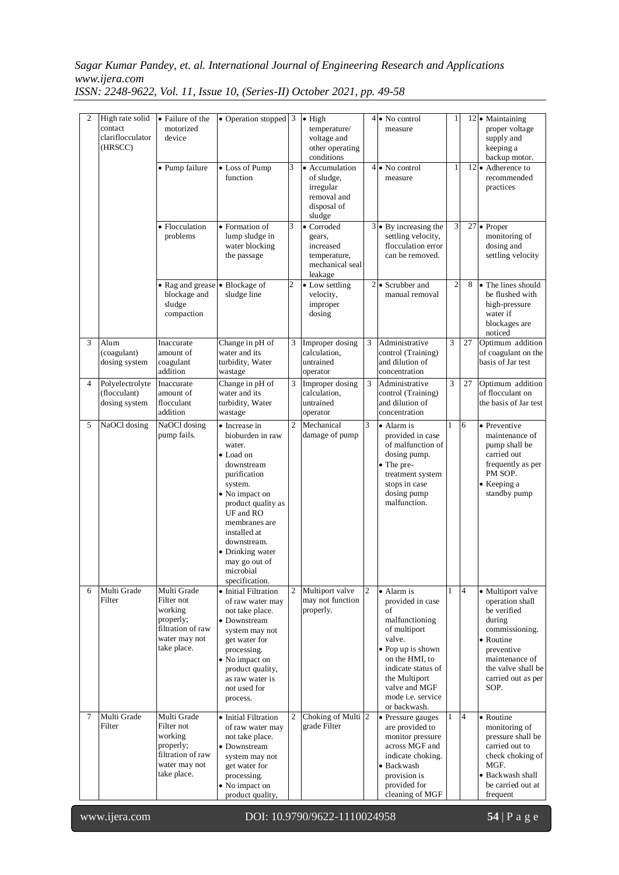# *Sagar Kumar Pandey, et. al. International Journal of Engineering Research and Applications www.ijera.com*

*ISSN: 2248-9622, Vol. 11, Issue 10, (Series-II) October 2021, pp. 49-58*

| $\overline{c}$ | High rate solid<br>contact<br>clariflocculator<br>(HRSCC) | • Failure of the<br>motorized<br>device                                                                | • Operation stopped 3                                                                                                                                                                                                                                                      |                | $\bullet$ High<br>temperature/<br>voltage and<br>other operating<br>conditions    |                | $4\bullet$ No control<br>measure                                                                                                                                                                                             | 1              |                | $12$ • Maintaining<br>proper voltage<br>supply and<br>keeping a<br>backup motor.                                                                                                 |
|----------------|-----------------------------------------------------------|--------------------------------------------------------------------------------------------------------|----------------------------------------------------------------------------------------------------------------------------------------------------------------------------------------------------------------------------------------------------------------------------|----------------|-----------------------------------------------------------------------------------|----------------|------------------------------------------------------------------------------------------------------------------------------------------------------------------------------------------------------------------------------|----------------|----------------|----------------------------------------------------------------------------------------------------------------------------------------------------------------------------------|
|                |                                                           | · Pump failure                                                                                         | • Loss of Pump<br>function                                                                                                                                                                                                                                                 | 3              | • Accumulation<br>of sludge,<br>irregular<br>removal and<br>disposal of<br>sludge |                | $4\bullet$ No control<br>measure                                                                                                                                                                                             | $\mathbf{1}$   |                | $12 \bullet$ Adherence to<br>recommended<br>practices                                                                                                                            |
|                |                                                           | · Flocculation<br>problems                                                                             | • Formation of<br>lump sludge in<br>water blocking<br>the passage                                                                                                                                                                                                          | 3              | • Corroded<br>gears,<br>increased<br>temperature,<br>mechanical seal<br>leakage   |                | $3 \bullet$ By increasing the<br>settling velocity,<br>flocculation error<br>can be removed.                                                                                                                                 | 3              |                | $\overline{27}$ • Proper<br>monitoring of<br>dosing and<br>settling velocity                                                                                                     |
|                |                                                           | • Rag and grease<br>blockage and<br>sludge<br>compaction                                               | • Blockage of<br>sludge line                                                                                                                                                                                                                                               | $\overline{c}$ | • Low settling<br>velocity,<br>improper<br>dosing                                 |                | $2\bullet$ Scrubber and<br>manual removal                                                                                                                                                                                    | $\overline{2}$ | 8              | • The lines should<br>be flushed with<br>high-pressure<br>water if<br>blockages are<br>noticed                                                                                   |
| 3              | Alum<br>(coagulant)<br>dosing system                      | Inaccurate<br>amount of<br>coagulant<br>addition                                                       | Change in pH of<br>water and its<br>turbidity, Water<br>wastage                                                                                                                                                                                                            | 3              | Improper dosing<br>calculation,<br>untrained<br>operator                          | 3              | Administrative<br>control (Training)<br>and dilution of<br>concentration                                                                                                                                                     | 3              | 27             | Optimum addition<br>of coagulant on the<br>basis of Jar test                                                                                                                     |
| 4              | Polyelectrolyte<br>(flocculant)<br>dosing system          | Inaccurate<br>amount of<br>flocculant<br>addition                                                      | Change in pH of<br>water and its<br>turbidity, Water<br>wastage                                                                                                                                                                                                            | 3              | Improper dosing<br>calculation,<br>untrained<br>operator                          | 3              | Administrative<br>control (Training)<br>and dilution of<br>concentration                                                                                                                                                     | 3              | 27             | Optimum addition<br>of flocculant on<br>the basis of Jar test                                                                                                                    |
| 5              | NaOCl dosing                                              | NaOCl dosing<br>pump fails.                                                                            | • Increase in<br>bioburden in raw<br>water.<br>• Load on<br>downstream<br>purification<br>system.<br>• No impact on<br>product quality as<br>UF and RO<br>membranes are<br>installed at<br>downstream.<br>• Drinking water<br>may go out of<br>microbial<br>specification. | $\overline{c}$ | Mechanical<br>damage of pump                                                      | 3              | $\bullet$ Alarm is<br>provided in case<br>of malfunction of<br>dosing pump.<br>• The pre-<br>treatment system<br>stops in case<br>dosing pump<br>malfunction.                                                                | $\mathbf{1}$   | 6              | • Preventive<br>maintenance of<br>pump shall be<br>carried out<br>frequently as per<br>PM SOP.<br>• Keeping a<br>standby pump                                                    |
| 6              | Multi Grade<br>Filter                                     | Multi Grade<br>Filter not<br>working<br>properly;<br>filtration of raw<br>water may not<br>take place. | • Initial Filtration<br>of raw water may<br>not take place.<br>• Downstream<br>system may not<br>get water for<br>processing.<br>• No impact on<br>product quality,<br>as raw water is<br>not used for<br>process.                                                         | $\overline{c}$ | Multiport valve<br>may not function<br>properly.                                  | $\overline{c}$ | • Alarm is<br>provided in case<br>of<br>malfunctioning<br>of multiport<br>valve.<br>$\bullet$ Pop up is shown<br>on the HMI, to<br>indicate status of<br>the Multiport<br>valve and MGF<br>mode i.e. service<br>or backwash. |                | 4              | · Multiport valve<br>operation shall<br>be verified<br>during<br>commissioning.<br>• Routine<br>preventive<br>maintenance of<br>the valve shall be<br>carried out as per<br>SOP. |
| $\tau$         | Multi Grade<br>Filter                                     | Multi Grade<br>Filter not<br>working<br>properly;<br>filtration of raw<br>water may not<br>take place. | • Initial Filtration<br>of raw water may<br>not take place.<br>• Downstream<br>system may not<br>get water for<br>processing.<br>• No impact on<br>product quality,                                                                                                        | $\overline{c}$ | Choking of Multi 2<br>grade Filter                                                |                | • Pressure gauges<br>are provided to<br>monitor pressure<br>across MGF and<br>indicate choking.<br>· Backwash<br>provision is<br>provided for<br>cleaning of MGF                                                             | 1              | $\overline{4}$ | • Routine<br>monitoring of<br>pressure shall be<br>carried out to<br>check choking of<br>MGF.<br>· Backwash shall<br>be carried out at<br>frequent                               |

l

www.ijera.com DOI: 10.9790/9622-1110024958 **54** | P a g e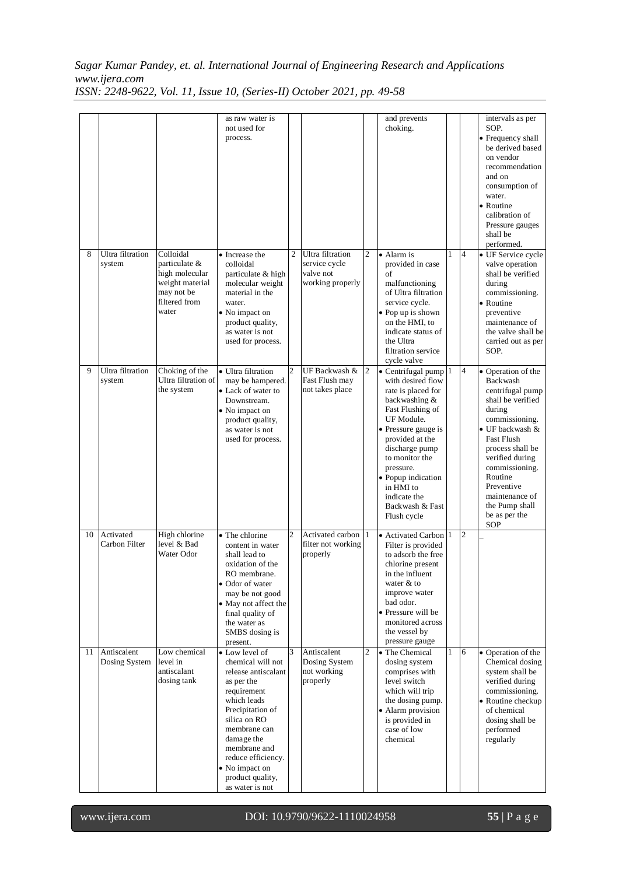# *Sagar Kumar Pandey, et. al. International Journal of Engineering Research and Applications www.ijera.com*

*ISSN: 2248-9622, Vol. 11, Issue 10, (Series-II) October 2021, pp. 49-58*

|    |                              |                                                                                                         | as raw water is<br>not used for<br>process.                                                                                                                                                                                                                             |                |                                                                    |                | and prevents<br>choking.                                                                                                                                                                                                                                                                                   |   |                | intervals as per<br>SOP.<br>• Frequency shall<br>be derived based<br>on vendor<br>recommendation<br>and on<br>consumption of<br>water.<br>• Routine<br>calibration of<br>Pressure gauges<br>shall be<br>performed.                                                                               |
|----|------------------------------|---------------------------------------------------------------------------------------------------------|-------------------------------------------------------------------------------------------------------------------------------------------------------------------------------------------------------------------------------------------------------------------------|----------------|--------------------------------------------------------------------|----------------|------------------------------------------------------------------------------------------------------------------------------------------------------------------------------------------------------------------------------------------------------------------------------------------------------------|---|----------------|--------------------------------------------------------------------------------------------------------------------------------------------------------------------------------------------------------------------------------------------------------------------------------------------------|
| 8  | Ultra filtration<br>system   | Colloidal<br>particulate &<br>high molecular<br>weight material<br>may not be<br>filtered from<br>water | • Increase the<br>colloidal<br>particulate & high<br>molecular weight<br>material in the<br>water.<br>• No impact on<br>product quality,<br>as water is not<br>used for process.                                                                                        | $\overline{c}$ | Ultra filtration<br>service cycle<br>valve not<br>working properly | $\overline{c}$ | $\bullet$ Alarm is<br>provided in case<br>of<br>malfunctioning<br>of Ultra filtration<br>service cycle.<br>• Pop up is shown<br>on the HMI, to<br>indicate status of<br>the Ultra<br>filtration service<br>cycle valve                                                                                     | 1 | $\overline{4}$ | • UF Service cycle<br>valve operation<br>shall be verified<br>during<br>commissioning.<br>• Routine<br>preventive<br>maintenance of<br>the valve shall be<br>carried out as per<br>SOP.                                                                                                          |
| 9  | Ultra filtration<br>system   | Choking of the<br>Ultra filtration of<br>the system                                                     | · Ultra filtration<br>may be hampered.<br>• Lack of water to<br>Downstream.<br>• No impact on<br>product quality,<br>as water is not<br>used for process.                                                                                                               | $\overline{2}$ | UF Backwash &<br>Fast Flush may<br>not takes place                 | $\overline{2}$ | $\bullet$ Centrifugal pump 1<br>with desired flow<br>rate is placed for<br>backwashing &<br>Fast Flushing of<br>UF Module.<br>• Pressure gauge is<br>provided at the<br>discharge pump<br>to monitor the<br>pressure.<br>• Popup indication<br>in HMI to<br>indicate the<br>Backwash & Fast<br>Flush cycle |   | $\overline{4}$ | • Operation of the<br>Backwash<br>centrifugal pump<br>shall be verified<br>during<br>commissioning.<br>• UF backwash &<br><b>Fast Flush</b><br>process shall be<br>verified during<br>commissioning.<br>Routine<br>Preventive<br>maintenance of<br>the Pump shall<br>be as per the<br><b>SOP</b> |
| 10 | Activated<br>Carbon Filter   | High chlorine<br>level & Bad<br>Water Odor                                                              | • The chlorine<br>content in water<br>shall lead to<br>oxidation of the<br>RO membrane.<br>• Odor of water<br>may be not good<br>• May not affect the<br>final quality of<br>the water as<br>SMBS dosing is<br>present.                                                 | $\overline{2}$ | Activated carbon<br>filter not working<br>properly                 | 11             | • Activated Carbon 1<br>Filter is provided<br>to adsorb the free<br>chlorine present<br>in the influent<br>water $& $ to<br>improve water<br>bad odor.<br>• Pressure will be<br>monitored across<br>the vessel by<br>pressure gauge                                                                        |   | $\overline{2}$ |                                                                                                                                                                                                                                                                                                  |
| 11 | Antiscalent<br>Dosing System | Low chemical<br>level in<br>antiscalant<br>dosing tank                                                  | • Low level of<br>chemical will not<br>release antiscalant<br>as per the<br>requirement<br>which leads<br>Precipitation of<br>silica on RO<br>membrane can<br>damage the<br>membrane and<br>reduce efficiency.<br>• No impact on<br>product quality,<br>as water is not | 3              | Antiscalent<br>Dosing System<br>not working<br>properly            | 2              | • The Chemical<br>dosing system<br>comprises with<br>level switch<br>which will trip<br>the dosing pump.<br>• Alarm provision<br>is provided in<br>case of low<br>chemical                                                                                                                                 | 1 | 6              | • Operation of the<br>Chemical dosing<br>system shall be<br>verified during<br>commissioning.<br>• Routine checkup<br>of chemical<br>dosing shall be<br>performed<br>regularly                                                                                                                   |

l

www.ijera.com DOI: 10.9790/9622-1110024958 **55** | P a g e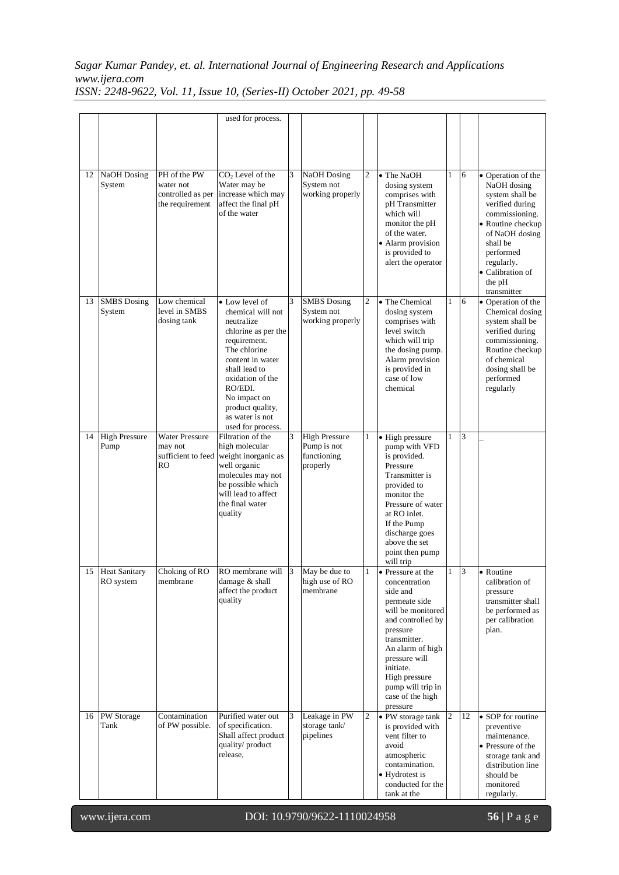# *Sagar Kumar Pandey, et. al. International Journal of Engineering Research and Applications www.ijera.com*

| ISSN: 2248-9622, Vol. 11, Issue 10, (Series-II) October 2021, pp. 49-58 |  |  |  |  |  |
|-------------------------------------------------------------------------|--|--|--|--|--|
|-------------------------------------------------------------------------|--|--|--|--|--|

|    |                               |                                                                   | used for process.                                                                                                                                                                                                                                        |   |                                                                |                |                                                                                                                                                                                                                                                               |                |                |                                                                                                                                                                                                                      |
|----|-------------------------------|-------------------------------------------------------------------|----------------------------------------------------------------------------------------------------------------------------------------------------------------------------------------------------------------------------------------------------------|---|----------------------------------------------------------------|----------------|---------------------------------------------------------------------------------------------------------------------------------------------------------------------------------------------------------------------------------------------------------------|----------------|----------------|----------------------------------------------------------------------------------------------------------------------------------------------------------------------------------------------------------------------|
|    |                               |                                                                   |                                                                                                                                                                                                                                                          |   |                                                                |                |                                                                                                                                                                                                                                                               |                |                |                                                                                                                                                                                                                      |
| 12 | <b>NaOH</b> Dosing<br>System  | PH of the PW<br>water not<br>controlled as per<br>the requirement | CO <sub>2</sub> Level of the<br>Water may be<br>increase which may<br>affect the final pH<br>of the water                                                                                                                                                | 3 | <b>NaOH</b> Dosing<br>System not<br>working properly           | $\overline{2}$ | $\overline{\bullet}$ The NaOH<br>dosing system<br>comprises with<br>pH Transmitter<br>which will<br>monitor the pH<br>of the water.<br>• Alarm provision<br>is provided to<br>alert the operator                                                              | $\mathbf{1}$   | 6              | • Operation of the<br>NaOH dosing<br>system shall be<br>verified during<br>commissioning.<br>• Routine checkup<br>of NaOH dosing<br>shall be<br>performed<br>regularly.<br>• Calibration of<br>the pH<br>transmitter |
| 13 | <b>SMBS</b> Dosing<br>System  | Low chemical<br>level in SMBS<br>dosing tank                      | • Low level of<br>chemical will not<br>neutralize<br>chlorine as per the<br>requirement.<br>The chlorine<br>content in water<br>shall lead to<br>oxidation of the<br>RO/EDI.<br>No impact on<br>product quality,<br>as water is not<br>used for process. | 3 | <b>SMBS</b> Dosing<br>System not<br>working properly           | $\overline{2}$ | • The Chemical<br>dosing system<br>comprises with<br>level switch<br>which will trip<br>the dosing pump.<br>Alarm provision<br>is provided in<br>case of low<br>chemical                                                                                      | $\mathbf{1}$   | 6              | • Operation of the<br>Chemical dosing<br>system shall be<br>verified during<br>commissioning.<br>Routine checkup<br>of chemical<br>dosing shall be<br>performed<br>regularly                                         |
| 14 | <b>High Pressure</b><br>Pump  | <b>Water Pressure</b><br>may not<br>sufficient to feed<br>RO      | Filtration of the<br>high molecular<br>weight inorganic as<br>well organic<br>molecules may not<br>be possible which<br>will lead to affect<br>the final water<br>quality                                                                                | 3 | <b>High Pressure</b><br>Pump is not<br>functioning<br>properly | 1              | · High pressure<br>pump with VFD<br>is provided.<br>Pressure<br>Transmitter is<br>provided to<br>monitor the<br>Pressure of water<br>at RO inlet.<br>If the Pump<br>discharge goes<br>above the set<br>point then pump<br>will trip                           |                | 3              |                                                                                                                                                                                                                      |
|    | 15 Heat Sanitary<br>RO system | Choking of RO<br>membrane                                         | RO membrane will 3<br>damage & shall<br>affect the product<br>quality                                                                                                                                                                                    |   | May be due to<br>high use of RO<br>membrane                    |                | • Pressure at the<br>concentration<br>side and<br>permeate side<br>will be monitored<br>and controlled by<br>pressure<br>transmitter.<br>An alarm of high<br>pressure will<br>initiate.<br>High pressure<br>pump will trip in<br>case of the high<br>pressure | 1              | $\overline{3}$ | • Routine<br>calibration of<br>pressure<br>transmitter shall<br>be performed as<br>per calibration<br>plan.                                                                                                          |
| 16 | PW Storage<br>Tank            | Contamination<br>of PW possible.                                  | Purified water out<br>of specification.<br>Shall affect product<br>quality/product<br>release,                                                                                                                                                           | 3 | Leakage in PW<br>storage tank/<br>pipelines                    | $\overline{c}$ | • PW storage tank<br>is provided with<br>vent filter to<br>avoid<br>atmospheric<br>contamination.<br>• Hydrotest is<br>conducted for the<br>tank at the                                                                                                       | $\overline{2}$ | 12             | • SOP for routine<br>preventive<br>maintenance.<br>• Pressure of the<br>storage tank and<br>distribution line<br>should be<br>monitored<br>regularly.                                                                |

l

www.ijera.com DOI: 10.9790/9622-1110024958 **56** | P a g e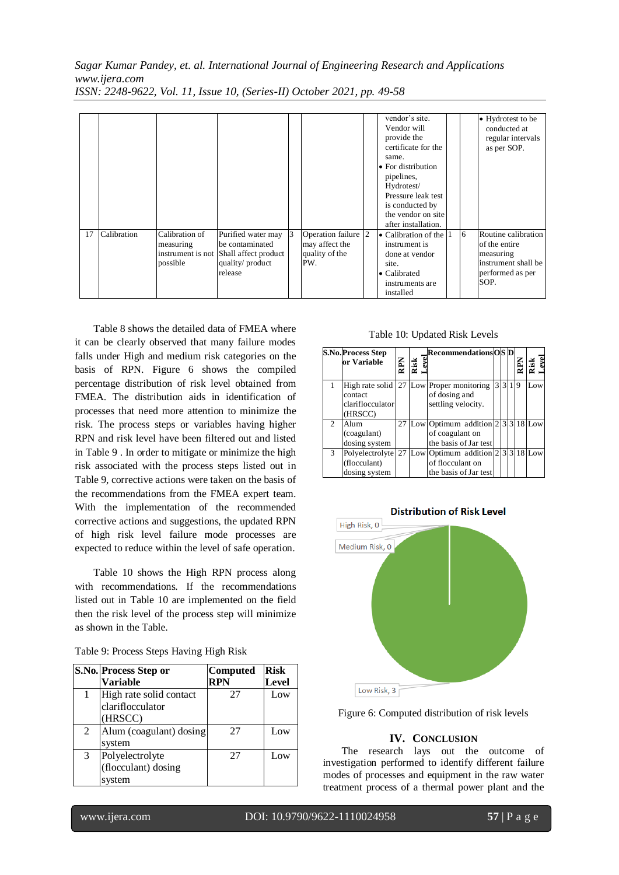|    |             |                                                              |                                                                                             |   |                                                                | vendor's site.<br>Vendor will<br>provide the<br>certificate for the<br>same.<br>• For distribution<br>pipelines,<br>Hydrotest/<br>Pressure leak test<br>is conducted by<br>the vendor on site<br>after installation. |   | • Hydrotest to be<br>conducted at<br>regular intervals<br>as per SOP.                                |
|----|-------------|--------------------------------------------------------------|---------------------------------------------------------------------------------------------|---|----------------------------------------------------------------|----------------------------------------------------------------------------------------------------------------------------------------------------------------------------------------------------------------------|---|------------------------------------------------------------------------------------------------------|
| 17 | Calibration | Calibration of<br>measuring<br>instrument is not<br>possible | Purified water may<br>be contaminated<br>Shall affect product<br>quality/product<br>release | 3 | Operation failure 2<br>may affect the<br>quality of the<br>PW. | • Calibration of the $ 1$<br>instrument is<br>done at vendor<br>site.<br>$\bullet$ Calibrated<br>instruments are<br>installed                                                                                        | 6 | Routine calibration<br>of the entire<br>measuring<br>instrument shall be<br>performed as per<br>SOP. |

[Table 8](#page-4-2) shows the detailed data of FMEA where it can be clearly observed that many failure modes falls under High and medium risk categories on the basis of RPN. [Figure 6](#page-8-0) shows the compiled percentage distribution of risk level obtained from FMEA. The distribution aids in identification of processes that need more attention to minimize the risk. The process steps or variables having higher RPN and risk level have been filtered out and listed in [Table 9](#page-8-1) . In order to mitigate or minimize the high risk associated with the process steps listed out in [Table 9,](#page-8-1) corrective actions were taken on the basis of the recommendations from the FMEA expert team. With the implementation of the recommended corrective actions and suggestions, the updated RPN of high risk level failure mode processes are expected to reduce within the level of safe operation.

[Table 10](#page-8-2) shows the High RPN process along with recommendations. If the recommendations listed out in [Table 10](#page-8-2) are implemented on the field then the risk level of the process step will minimize as shown in the Table.

<span id="page-8-1"></span>

|   | S.No. Process Step or   | Computed   | <b>Risk</b>  |
|---|-------------------------|------------|--------------|
|   | Variable                | <b>RPN</b> | <b>Level</b> |
|   | High rate solid contact | 27         | Low          |
|   | clariflocculator        |            |              |
|   | (HRSCC)                 |            |              |
| 2 | Alum (coagulant) dosing | 27         | Low          |
|   | system                  |            |              |
| 3 | Polyelectrolyte         | 27         | Low          |
|   | (flocculant) dosing     |            |              |
|   | system                  |            |              |

Table 10: Updated Risk Levels

<span id="page-8-2"></span>

|                | S.No.Process Step<br>or Variable                 | <b>Ndrx</b> | Risk | <b>RecommendationsOS D</b>                                                        |   |              | Rar<br>S | tisk<br>evel |
|----------------|--------------------------------------------------|-------------|------|-----------------------------------------------------------------------------------|---|--------------|----------|--------------|
|                | High rate solid<br>contact                       | 27          |      | Low Proper monitoring<br>of dosing and                                            | 3 | $\mathbf{3}$ | Q        | Low          |
|                | clariflocculator<br>(HRSCC)                      |             |      | settling velocity.                                                                |   |              |          |              |
| $\mathfrak{D}$ | Alum<br>(coagulant)<br>dosing system             | 27          |      | Low Optimum addition $ 2 3 3 18 $ Low<br>of coagulant on<br>the basis of Jar test |   |              |          |              |
| 3              | Polyelectrolyte<br>(flocculant)<br>dosing system | 27          |      | Low Optimum addition 2<br>of flocculant on<br>the basis of Jar test               |   |              |          | 3318Low      |



<span id="page-8-0"></span>Figure 6: Computed distribution of risk levels

### **IV. CONCLUSION**

The research lays out the outcome of investigation performed to identify different failure modes of processes and equipment in the raw water treatment process of a thermal power plant and the